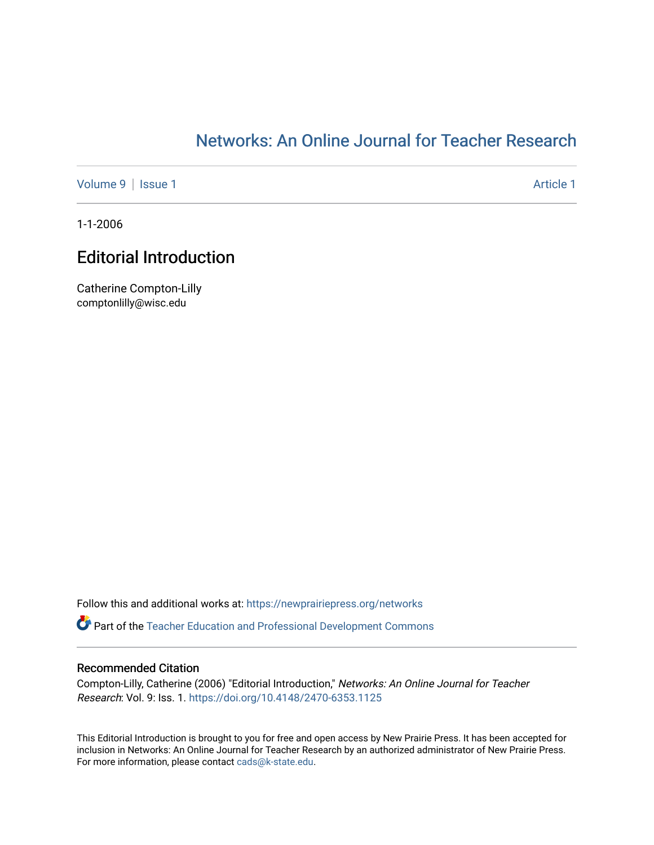## [Networks: An Online Journal for Teacher Research](https://newprairiepress.org/networks)

[Volume 9](https://newprairiepress.org/networks/vol9) | [Issue 1](https://newprairiepress.org/networks/vol9/iss1) Article 1

1-1-2006

## Editorial Introduction

Catherine Compton-Lilly comptonlilly@wisc.edu

Follow this and additional works at: [https://newprairiepress.org/networks](https://newprairiepress.org/networks?utm_source=newprairiepress.org%2Fnetworks%2Fvol9%2Fiss1%2F1&utm_medium=PDF&utm_campaign=PDFCoverPages)

**Part of the Teacher Education and Professional Development Commons** 

## Recommended Citation

Compton-Lilly, Catherine (2006) "Editorial Introduction," Networks: An Online Journal for Teacher Research: Vol. 9: Iss. 1. <https://doi.org/10.4148/2470-6353.1125>

This Editorial Introduction is brought to you for free and open access by New Prairie Press. It has been accepted for inclusion in Networks: An Online Journal for Teacher Research by an authorized administrator of New Prairie Press. For more information, please contact [cads@k-state.edu.](mailto:cads@k-state.edu)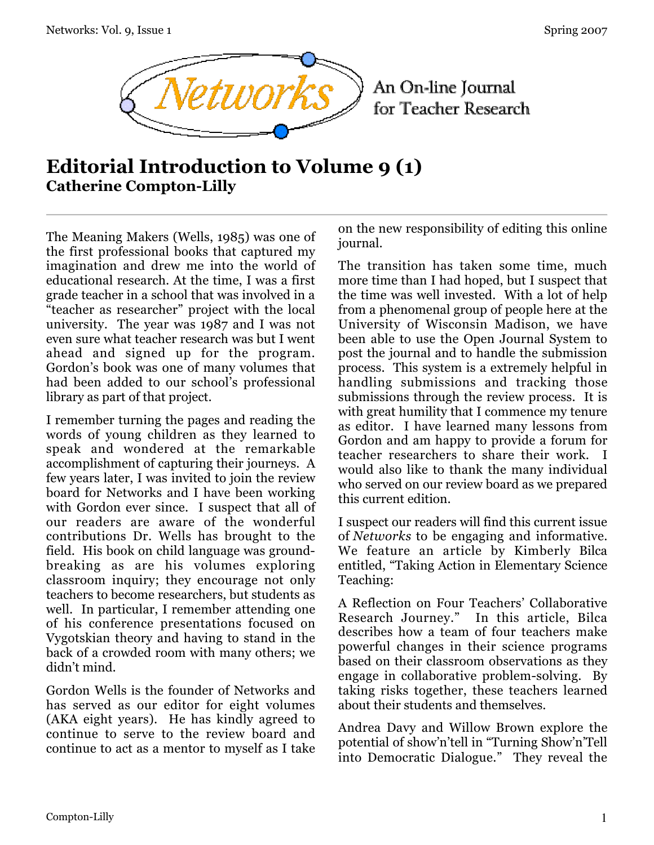

An On-line Journal for Teacher Research

## **Editorial Introduction to Volume 9 (1) Catherine Compton-Lilly**

The Meaning Makers (Wells, 1985) was one of the first professional books that captured my imagination and drew me into the world of educational research. At the time, I was a first grade teacher in a school that was involved in a "teacher as researcher" project with the local university. The year was 1987 and I was not even sure what teacher research was but I went ahead and signed up for the program. Gordon's book was one of many volumes that had been added to our school's professional library as part of that project.

I remember turning the pages and reading the words of young children as they learned to speak and wondered at the remarkable accomplishment of capturing their journeys. A few years later, I was invited to join the review board for Networks and I have been working with Gordon ever since. I suspect that all of our readers are aware of the wonderful contributions Dr. Wells has brought to the field. His book on child language was groundbreaking as are his volumes exploring classroom inquiry; they encourage not only teachers to become researchers, but students as well. In particular, I remember attending one of his conference presentations focused on Vygotskian theory and having to stand in the back of a crowded room with many others; we didn't mind.

Gordon Wells is the founder of Networks and has served as our editor for eight volumes (AKA eight years). He has kindly agreed to continue to serve to the review board and continue to act as a mentor to myself as I take

on the new responsibility of editing this online journal.

The transition has taken some time, much more time than I had hoped, but I suspect that the time was well invested. With a lot of help from a phenomenal group of people here at the University of Wisconsin Madison, we have been able to use the Open Journal System to post the journal and to handle the submission process. This system is a extremely helpful in handling submissions and tracking those submissions through the review process. It is with great humility that I commence my tenure as editor. I have learned many lessons from Gordon and am happy to provide a forum for teacher researchers to share their work. I would also like to thank the many individual who served on our review board as we prepared this current edition.

I suspect our readers will find this current issue of *Networks* to be engaging and informative. We feature an article by Kimberly Bilca entitled, "Taking Action in Elementary Science Teaching:

A Reflection on Four Teachers' Collaborative Research Journey." In this article, Bilca describes how a team of four teachers make powerful changes in their science programs based on their classroom observations as they engage in collaborative problem-solving. By taking risks together, these teachers learned about their students and themselves.

Andrea Davy and Willow Brown explore the potential of show'n'tell in "Turning Show'n'Tell into Democratic Dialogue." They reveal the